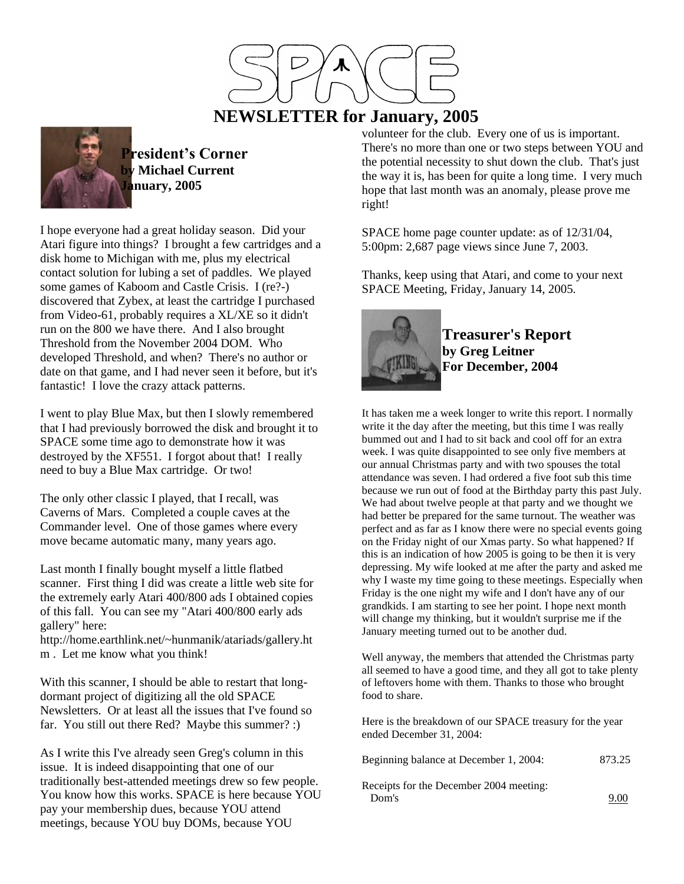

# **NEWSLETTER for January, 2005**



**President's Corner by Michael Current January, 2005**

I hope everyone had a great holiday season. Did your Atari figure into things? I brought a few cartridges and a disk home to Michigan with me, plus my electrical contact solution for lubing a set of paddles. We played some games of Kaboom and Castle Crisis. I (re?-) discovered that Zybex, at least the cartridge I purchased from Video-61, probably requires a XL/XE so it didn't run on the 800 we have there. And I also brought Threshold from the November 2004 DOM. Who developed Threshold, and when? There's no author or date on that game, and I had never seen it before, but it's fantastic! I love the crazy attack patterns.

I went to play Blue Max, but then I slowly remembered that I had previously borrowed the disk and brought it to SPACE some time ago to demonstrate how it was destroyed by the XF551. I forgot about that! I really need to buy a Blue Max cartridge. Or two!

The only other classic I played, that I recall, was Caverns of Mars. Completed a couple caves at the Commander level. One of those games where every move became automatic many, many years ago.

Last month I finally bought myself a little flatbed scanner. First thing I did was create a little web site for the extremely early Atari 400/800 ads I obtained copies of this fall. You can see my "Atari 400/800 early ads gallery" here:

http://home.earthlink.net/~hunmanik/atariads/gallery.ht m . Let me know what you think!

With this scanner, I should be able to restart that longdormant project of digitizing all the old SPACE Newsletters. Or at least all the issues that I've found so far. You still out there Red? Maybe this summer? :)

As I write this I've already seen Greg's column in this issue. It is indeed disappointing that one of our traditionally best-attended meetings drew so few people. You know how this works. SPACE is here because YOU pay your membership dues, because YOU attend meetings, because YOU buy DOMs, because YOU

volunteer for the club. Every one of us is important. There's no more than one or two steps between YOU and the potential necessity to shut down the club. That's just the way it is, has been for quite a long time. I very much hope that last month was an anomaly, please prove me right!

SPACE home page counter update: as of 12/31/04, 5:00pm: 2,687 page views since June 7, 2003.

Thanks, keep using that Atari, and come to your next SPACE Meeting, Friday, January 14, 2005.



**Treasurer's Report by Greg Leitner For December, 2004**

It has taken me a week longer to write this report. I normally write it the day after the meeting, but this time I was really bummed out and I had to sit back and cool off for an extra week. I was quite disappointed to see only five members at our annual Christmas party and with two spouses the total attendance was seven. I had ordered a five foot sub this time because we run out of food at the Birthday party this past July. We had about twelve people at that party and we thought we had better be prepared for the same turnout. The weather was perfect and as far as I know there were no special events going on the Friday night of our Xmas party. So what happened? If this is an indication of how 2005 is going to be then it is very depressing. My wife looked at me after the party and asked me why I waste my time going to these meetings. Especially when Friday is the one night my wife and I don't have any of our grandkids. I am starting to see her point. I hope next month will change my thinking, but it wouldn't surprise me if the January meeting turned out to be another dud.

Well anyway, the members that attended the Christmas party all seemed to have a good time, and they all got to take plenty of leftovers home with them. Thanks to those who brought food to share.

Here is the breakdown of our SPACE treasury for the year ended December 31, 2004:

| Beginning balance at December 1, 2004:  | 873.25 |
|-----------------------------------------|--------|
| Receipts for the December 2004 meeting: |        |
| Dom's                                   | 9.00   |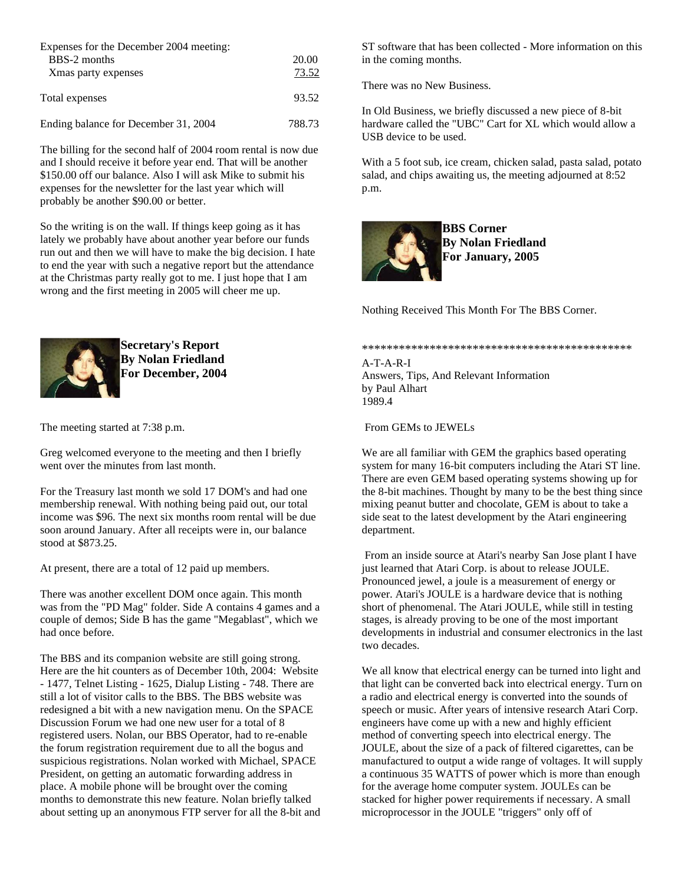| Expenses for the December 2004 meeting:<br>BBS-2 months<br>Xmas party expenses | 20.00<br>73.52 |
|--------------------------------------------------------------------------------|----------------|
| Total expenses                                                                 | 93.52          |
| Ending balance for December 31, 2004                                           | 788.73         |

The billing for the second half of 2004 room rental is now due and I should receive it before year end. That will be another \$150.00 off our balance. Also I will ask Mike to submit his expenses for the newsletter for the last year which will probably be another \$90.00 or better.

So the writing is on the wall. If things keep going as it has lately we probably have about another year before our funds run out and then we will have to make the big decision. I hate to end the year with such a negative report but the attendance at the Christmas party really got to me. I just hope that I am wrong and the first meeting in 2005 will cheer me up.



**Secretary's Report By Nolan Friedland For December, 2004**

The meeting started at 7:38 p.m.

Greg welcomed everyone to the meeting and then I briefly went over the minutes from last month.

For the Treasury last month we sold 17 DOM's and had one membership renewal. With nothing being paid out, our total income was \$96. The next six months room rental will be due soon around January. After all receipts were in, our balance stood at \$873.25.

At present, there are a total of 12 paid up members.

There was another excellent DOM once again. This month was from the "PD Mag" folder. Side A contains 4 games and a couple of demos; Side B has the game "Megablast", which we had once before.

The BBS and its companion website are still going strong. Here are the hit counters as of December 10th, 2004: Website - 1477, Telnet Listing - 1625, Dialup Listing - 748. There are still a lot of visitor calls to the BBS. The BBS website was redesigned a bit with a new navigation menu. On the SPACE Discussion Forum we had one new user for a total of 8 registered users. Nolan, our BBS Operator, had to re-enable the forum registration requirement due to all the bogus and suspicious registrations. Nolan worked with Michael, SPACE President, on getting an automatic forwarding address in place. A mobile phone will be brought over the coming months to demonstrate this new feature. Nolan briefly talked about setting up an anonymous FTP server for all the 8-bit and ST software that has been collected - More information on this in the coming months.

There was no New Business.

In Old Business, we briefly discussed a new piece of 8-bit hardware called the "UBC" Cart for XL which would allow a USB device to be used.

With a 5 foot sub, ice cream, chicken salad, pasta salad, potato salad, and chips awaiting us, the meeting adjourned at 8:52 p.m.



**BBS Corner By Nolan Friedland For January, 2005**

Nothing Received This Month For The BBS Corner.

#### \*\*\*\*\*\*\*\*\*\*\*\*\*\*\*\*\*\*\*\*\*\*\*\*\*\*\*\*\*\*\*\*\*\*\*\*\*\*\*\*\*\*\*\*

A-T-A-R-I Answers, Tips, And Relevant Information by Paul Alhart 1989.4

### From GEMs to JEWELs

We are all familiar with GEM the graphics based operating system for many 16-bit computers including the Atari ST line. There are even GEM based operating systems showing up for the 8-bit machines. Thought by many to be the best thing since mixing peanut butter and chocolate, GEM is about to take a side seat to the latest development by the Atari engineering department.

From an inside source at Atari's nearby San Jose plant I have just learned that Atari Corp. is about to release JOULE. Pronounced jewel, a joule is a measurement of energy or power. Atari's JOULE is a hardware device that is nothing short of phenomenal. The Atari JOULE, while still in testing stages, is already proving to be one of the most important developments in industrial and consumer electronics in the last two decades.

We all know that electrical energy can be turned into light and that light can be converted back into electrical energy. Turn on a radio and electrical energy is converted into the sounds of speech or music. After years of intensive research Atari Corp. engineers have come up with a new and highly efficient method of converting speech into electrical energy. The JOULE, about the size of a pack of filtered cigarettes, can be manufactured to output a wide range of voltages. It will supply a continuous 35 WATTS of power which is more than enough for the average home computer system. JOULEs can be stacked for higher power requirements if necessary. A small microprocessor in the JOULE "triggers" only off of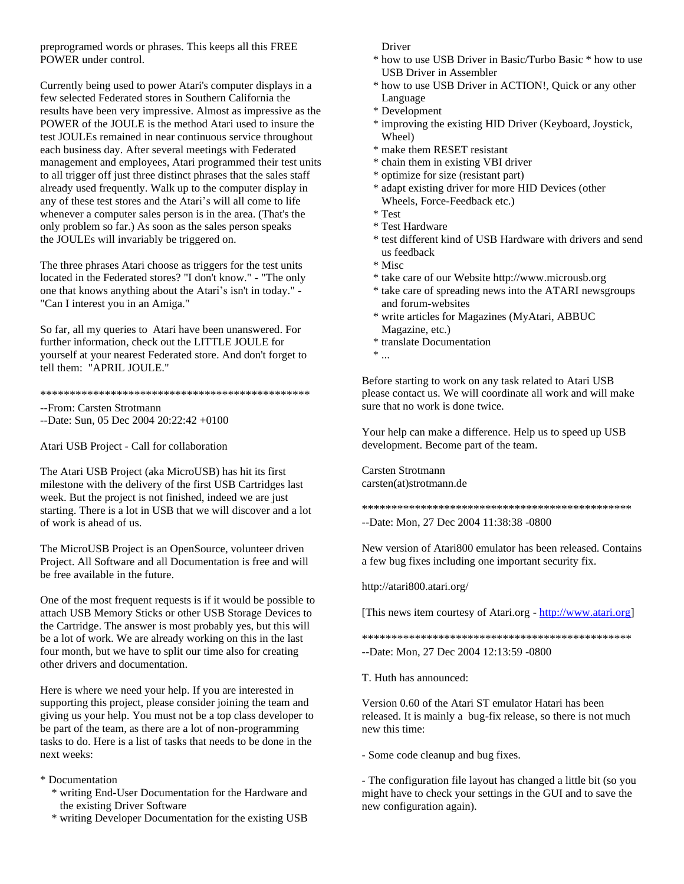preprogramed words or phrases. This keeps all this FREE POWER under control.

Currently being used to power Atari's computer displays in a few selected Federated stores in Southern California the results have been very impressive. Almost as impressive as the POWER of the JOULE is the method Atari used to insure the test JOULEs remained in near continuous service throughout each business day. After several meetings with Federated management and employees, Atari programmed their test units to all trigger off just three distinct phrases that the sales staff already used frequently. Walk up to the computer display in any of these test stores and the Atari's will all come to life whenever a computer sales person is in the area. (That's the only problem so far.) As soon as the sales person speaks the JOULEs will invariably be triggered on.

The three phrases Atari choose as triggers for the test units located in the Federated stores? "I don't know." - "The only one that knows anything about the Atari's isn't in today." - "Can I interest you in an Amiga."

So far, all my queries to Atari have been unanswered. For further information, check out the LITTLE JOULE for yourself at your nearest Federated store. And don't forget to tell them: "APRIL JOULE."

\*\*\*\*\*\*\*\*\*\*\*\*\*\*\*\*\*\*\*\*\*\*\*\*\*\*\*\*\*\*\*\*\*\*\*\*\*\*\*\*\*\*\*\*\*\*

--From: Carsten Strotmann

--Date: Sun, 05 Dec 2004 20:22:42 +0100

Atari USB Project - Call for collaboration

The Atari USB Project (aka MicroUSB) has hit its first milestone with the delivery of the first USB Cartridges last week. But the project is not finished, indeed we are just starting. There is a lot in USB that we will discover and a lot of work is ahead of us.

The MicroUSB Project is an OpenSource, volunteer driven Project. All Software and all Documentation is free and will be free available in the future.

One of the most frequent requests is if it would be possible to attach USB Memory Sticks or other USB Storage Devices to the Cartridge. The answer is most probably yes, but this will be a lot of work. We are already working on this in the last four month, but we have to split our time also for creating other drivers and documentation.

Here is where we need your help. If you are interested in supporting this project, please consider joining the team and giving us your help. You must not be a top class developer to be part of the team, as there are a lot of non-programming tasks to do. Here is a list of tasks that needs to be done in the next weeks:

\* Documentation

- \* writing End-User Documentation for the Hardware and the existing Driver Software
- \* writing Developer Documentation for the existing USB

Driver

- \* how to use USB Driver in Basic/Turbo Basic \* how to use USB Driver in Assembler
- \* how to use USB Driver in ACTION!, Quick or any other Language
- \* Development
- \* improving the existing HID Driver (Keyboard, Joystick, Wheel)
- \* make them RESET resistant
- \* chain them in existing VBI driver
- \* optimize for size (resistant part)
- \* adapt existing driver for more HID Devices (other Wheels, Force-Feedback etc.)
- \* Test
- \* Test Hardware
- \* test different kind of USB Hardware with drivers and send us feedback
- \* Misc
- \* take care of our Website http://www.microusb.org
- \* take care of spreading news into the ATARI newsgroups and forum-websites
- \* write articles for Magazines (MyAtari, ABBUC Magazine, etc.)
- \* translate Documentation

 $^*$   $\ldots$ 

Before starting to work on any task related to Atari USB please contact us. We will coordinate all work and will make sure that no work is done twice.

Your help can make a difference. Help us to speed up USB development. Become part of the team.

Carsten Strotmann carsten(at)strotmann.de

\*\*\*\*\*\*\*\*\*\*\*\*\*\*\*\*\*\*\*\*\*\*\*\*\*\*\*\*\*\*\*\*\*\*\*\*\*\*\*\*\*\*\*\*\*\* --Date: Mon, 27 Dec 2004 11:38:38 -0800

New version of Atari800 emulator has been released. Contains a few bug fixes including one important security fix.

http://atari800.atari.org/

[This news item courtesy of Atari.org - [http://www.atari.org\]](http://www.atari.org/)

\*\*\*\*\*\*\*\*\*\*\*\*\*\*\*\*\*\*\*\*\*\*\*\*\*\*\*\*\*\*\*\*\*\*\*\*\*\*\*\*\*\*\*\*\*\* --Date: Mon, 27 Dec 2004 12:13:59 -0800

T. Huth has announced:

Version 0.60 of the Atari ST emulator Hatari has been released. It is mainly a bug-fix release, so there is not much new this time:

- Some code cleanup and bug fixes.

- The configuration file layout has changed a little bit (so you might have to check your settings in the GUI and to save the new configuration again).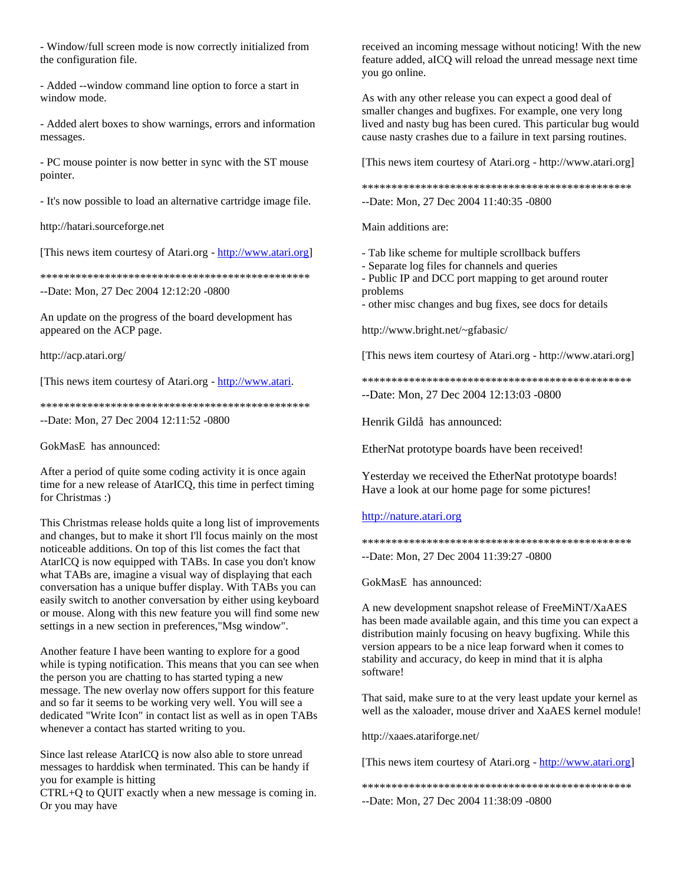- Window/full screen mode is now correctly initialized from the configuration file.

- Added --window command line option to force a start in window mode.

- Added alert boxes to show warnings, errors and information messages.

- PC mouse pointer is now better in sync with the ST mouse pointer.

- It's now possible to load an alternative cartridge image file.

http://hatari.sourceforge.net

[This news item courtesy of Atari.org - [http://www.atari.org\]](http://www.atari.org/)

\*\*\*\*\*\*\*\*\*\*\*\*\*\*\*\*\*\*\*\*\*\*\*\*\*\*\*\*\*\*\*\*\*\*\*\*\*\*\*\*\*\*\*\*\*\*

--Date: Mon, 27 Dec 2004 12:12:20 -0800

An update on the progress of the board development has appeared on the ACP page.

http://acp.atari.org/

[This news item courtesy of Atari.org - [http://www.atari.](http://www.atari/)

\*\*\*\*\*\*\*\*\*\*\*\*\*\*\*\*\*\*\*\*\*\*\*\*\*\*\*\*\*\*\*\*\*\*\*\*\*\*\*\*\*\*\*\*\*\* --Date: Mon, 27 Dec 2004 12:11:52 -0800

GokMasE has announced:

After a period of quite some coding activity it is once again time for a new release of AtarICQ, this time in perfect timing for Christmas :)

This Christmas release holds quite a long list of improvements and changes, but to make it short I'll focus mainly on the most noticeable additions. On top of this list comes the fact that AtarICQ is now equipped with TABs. In case you don't know what TABs are, imagine a visual way of displaying that each conversation has a unique buffer display. With TABs you can easily switch to another conversation by either using keyboard or mouse. Along with this new feature you will find some new settings in a new section in preferences,"Msg window".

Another feature I have been wanting to explore for a good while is typing notification. This means that you can see when the person you are chatting to has started typing a new message. The new overlay now offers support for this feature and so far it seems to be working very well. You will see a dedicated "Write Icon" in contact list as well as in open TABs whenever a contact has started writing to you.

Since last release AtarICQ is now also able to store unread messages to harddisk when terminated. This can be handy if you for example is hitting

CTRL+Q to QUIT exactly when a new message is coming in. Or you may have

received an incoming message without noticing! With the new feature added, aICQ will reload the unread message next time you go online.

As with any other release you can expect a good deal of smaller changes and bugfixes. For example, one very long lived and nasty bug has been cured. This particular bug would cause nasty crashes due to a failure in text parsing routines.

[This news item courtesy of Atari.org - http://www.atari.org]

\*\*\*\*\*\*\*\*\*\*\*\*\*\*\*\*\*\*\*\*\*\*\*\*\*\*\*\*\*\*\*\*\*\*\*\*\*\*\*\*\*\*\*\*\*\* --Date: Mon, 27 Dec 2004 11:40:35 -0800

Main additions are:

- Tab like scheme for multiple scrollback buffers

- Separate log files for channels and queries
- Public IP and DCC port mapping to get around router problems

- other misc changes and bug fixes, see docs for details

http://www.bright.net/~gfabasic/

[This news item courtesy of Atari.org - http://www.atari.org]

\*\*\*\*\*\*\*\*\*\*\*\*\*\*\*\*\*\*\*\*\*\*\*\*\*\*\*\*\*\*\*\*\*\*\*\*\*\*\*\*\*\*\*\*\*\*

--Date: Mon, 27 Dec 2004 12:13:03 -0800

Henrik Gildå has announced:

EtherNat prototype boards have been received!

Yesterday we received the EtherNat prototype boards! Have a look at our home page for some pictures!

### [http://nature.atari.org](http://nature.atari.org/)

\*\*\*\*\*\*\*\*\*\*\*\*\*\*\*\*\*\*\*\*\*\*\*\*\*\*\*\*\*\*\*\*\*\*\*\*\*\*\*\*\*\*\*\*\*\* --Date: Mon, 27 Dec 2004 11:39:27 -0800

GokMasE has announced:

A new development snapshot release of FreeMiNT/XaAES has been made available again, and this time you can expect a distribution mainly focusing on heavy bugfixing. While this version appears to be a nice leap forward when it comes to stability and accuracy, do keep in mind that it is alpha software!

That said, make sure to at the very least update your kernel as well as the xaloader, mouse driver and XaAES kernel module!

http://xaaes.atariforge.net/

[This news item courtesy of Atari.org - [http://www.atari.org\]](http://www.atari.org/)

\*\*\*\*\*\*\*\*\*\*\*\*\*\*\*\*\*\*\*\*\*\*\*\*\*\*\*\*\*\*\*\*\*\*\*\*\*\*\*\*\*\*\*\*\*\* --Date: Mon, 27 Dec 2004 11:38:09 -0800